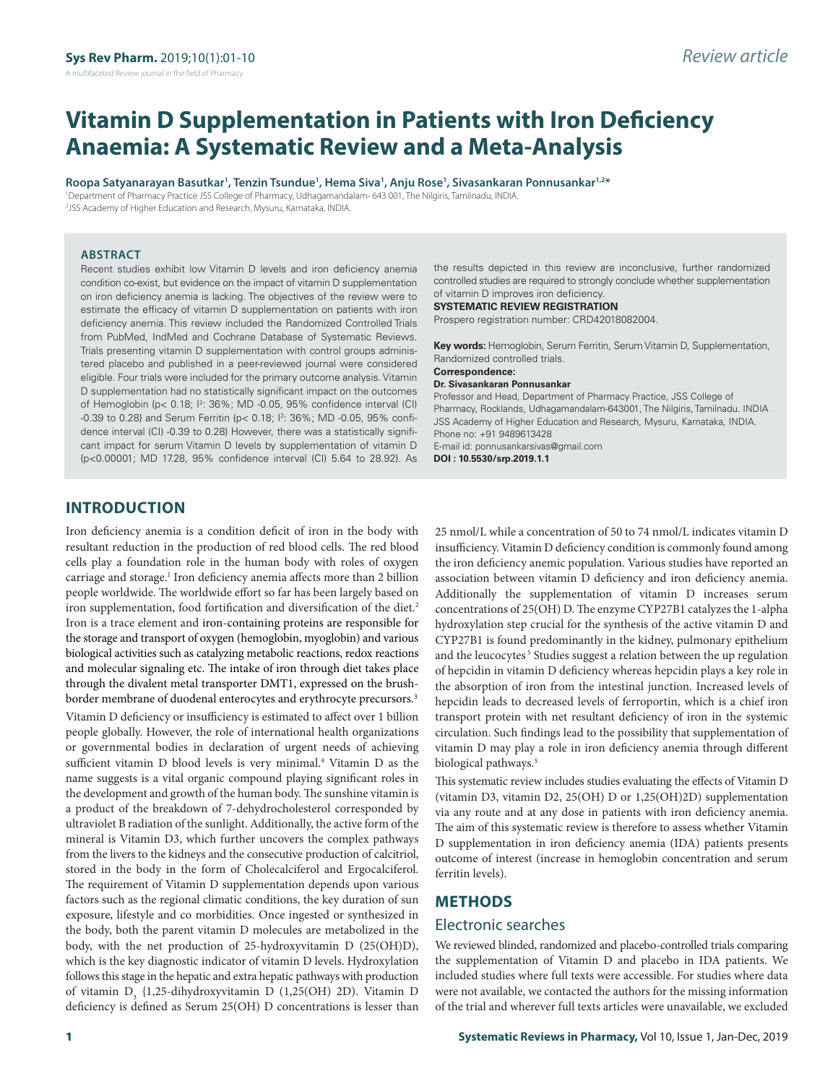# **Vitamin D Supplementation in Patients with Iron Deficiency Anaemia: A Systematic Review and a Meta-Analysis**

**Roopa Satyanarayan Basutkar1 , Tenzin Tsundue1 , Hema Siva1 , Anju Rose1 , Sivasankaran Ponnusankar1,2\***

1 Department of Pharmacy Practice JSS College of Pharmacy, Udhagamandalam- 643 001, The Nilgiris, Tamilnadu, INDIA. 2 JSS Academy of Higher Education and Research, Mysuru, Karnataka, INDIA.

#### **ABSTRACT**

Recent studies exhibit low Vitamin D levels and iron deficiency anemia condition co-exist, but evidence on the impact of vitamin D supplementation on iron deficiency anemia is lacking. The objectives of the review were to estimate the efficacy of vitamin D supplementation on patients with iron deficiency anemia. This review included the Randomized Controlled Trials from PubMed, IndMed and Cochrane Database of Systematic Reviews. Trials presenting vitamin D supplementation with control groups administered placebo and published in a peer-reviewed journal were considered eligible. Four trials were included for the primary outcome analysis. Vitamin D supplementation had no statistically significant impact on the outcomes of Hemoglobin {p< 0.18; I2 : 36%; MD -0.05, 95% confidence interval (CI) -0.39 to 0.28} and Serum Ferritin {p< 0.18; I2 : 36%; MD -0.05, 95% confidence interval (CI) -0.39 to 0.28} However, there was a statistically significant impact for serum Vitamin D levels by supplementation of vitamin D {p<0.00001; MD 17.28, 95% confidence interval (CI) 5.64 to 28.92}. As

the results depicted in this review are inconclusive, further randomized controlled studies are required to strongly conclude whether supplementation of vitamin D improves iron deficiency.

**SYSTEMATIC REVIEW REGISTRATION**

Prospero registration number: CRD42018082004.

**Key words:** Hemoglobin, Serum Ferritin, Serum Vitamin D, Supplementation, Randomized controlled trials.

#### **Correspondence:**

**Dr. Sivasankaran Ponnusankar** Professor and Head, Department of Pharmacy Practice, JSS College of

Pharmacy, Rocklands, Udhagamandalam-643001, The Nilgiris, Tamilnadu. INDIA JSS Academy of Higher Education and Research, Mysuru, Karnataka, INDIA. Phone no: +91 9489613428 E-mail id: ponnusankarsivas@gmail.com

**DOI : 10.5530/srp.2019.1.1**

# **INTRODUCTION**

Iron deficiency anemia is a condition deficit of iron in the body with resultant reduction in the production of red blood cells. The red blood cells play a foundation role in the human body with roles of oxygen carriage and storage.<sup>1</sup> Iron deficiency anemia affects more than 2 billion people worldwide. The worldwide effort so far has been largely based on iron supplementation, food fortification and diversification of the diet.<sup>2</sup> Iron is a trace element and iron-containing proteins are responsible for the storage and transport of oxygen (hemoglobin, myoglobin) and various biological activities such as catalyzing metabolic reactions, redox reactions and molecular signaling etc. The intake of iron through diet takes place through the divalent metal transporter DMT1, expressed on the brushborder membrane of duodenal enterocytes and erythrocyte precursors.<sup>3</sup> Vitamin D deficiency or insufficiency is estimated to affect over 1 billion people globally. However, the role of international health organizations or governmental bodies in declaration of urgent needs of achieving sufficient vitamin D blood levels is very minimal.<sup>4</sup> Vitamin D as the name suggests is a vital organic compound playing significant roles in the development and growth of the human body. The sunshine vitamin is a product of the breakdown of 7-dehydrocholesterol corresponded by ultraviolet B radiation of the sunlight. Additionally, the active form of the mineral is Vitamin D3, which further uncovers the complex pathways from the livers to the kidneys and the consecutive production of calcitriol, stored in the body in the form of Cholecalciferol and Ergocalciferol. The requirement of Vitamin D supplementation depends upon various factors such as the regional climatic conditions, the key duration of sun exposure, lifestyle and co morbidities. Once ingested or synthesized in the body, both the parent vitamin D molecules are metabolized in the body, with the net production of 25-hydroxyvitamin D (25(OH)D), which is the key diagnostic indicator of vitamin D levels. Hydroxylation follows this stage in the hepatic and extra hepatic pathways with production of vitamin D<sub>3</sub> {1,25-dihydroxyvitamin D (1,25(OH) 2D). Vitamin D deficiency is defined as Serum 25(OH) D concentrations is lesser than

insufficiency. Vitamin D deficiency condition is commonly found among the iron deficiency anemic population. Various studies have reported an association between vitamin D deficiency and iron deficiency anemia. Additionally the supplementation of vitamin D increases serum concentrations of 25(OH) D. The enzyme CYP27B1 catalyzes the 1-alpha hydroxylation step crucial for the synthesis of the active vitamin D and CYP27B1 is found predominantly in the kidney, pulmonary epithelium and the leucocytes $\sqrt[5]{5}$  Studies suggest a relation between the up regulation of hepcidin in vitamin D deficiency whereas hepcidin plays a key role in the absorption of iron from the intestinal junction. Increased levels of hepcidin leads to decreased levels of ferroportin, which is a chief iron transport protein with net resultant deficiency of iron in the systemic circulation. Such findings lead to the possibility that supplementation of vitamin D may play a role in iron deficiency anemia through different biological pathways.<sup>5</sup>

25 nmol/L while a concentration of 50 to 74 nmol/L indicates vitamin D

This systematic review includes studies evaluating the effects of Vitamin D (vitamin D3, vitamin D2, 25(OH) D or 1,25(OH)2D) supplementation via any route and at any dose in patients with iron deficiency anemia. The aim of this systematic review is therefore to assess whether Vitamin D supplementation in iron deficiency anemia (IDA) patients presents outcome of interest (increase in hemoglobin concentration and serum ferritin levels).

#### **METHODS**

#### Electronic searches

We reviewed blinded, randomized and placebo-controlled trials comparing the supplementation of Vitamin D and placebo in IDA patients. We included studies where full texts were accessible. For studies where data were not available, we contacted the authors for the missing information of the trial and wherever full texts articles were unavailable, we excluded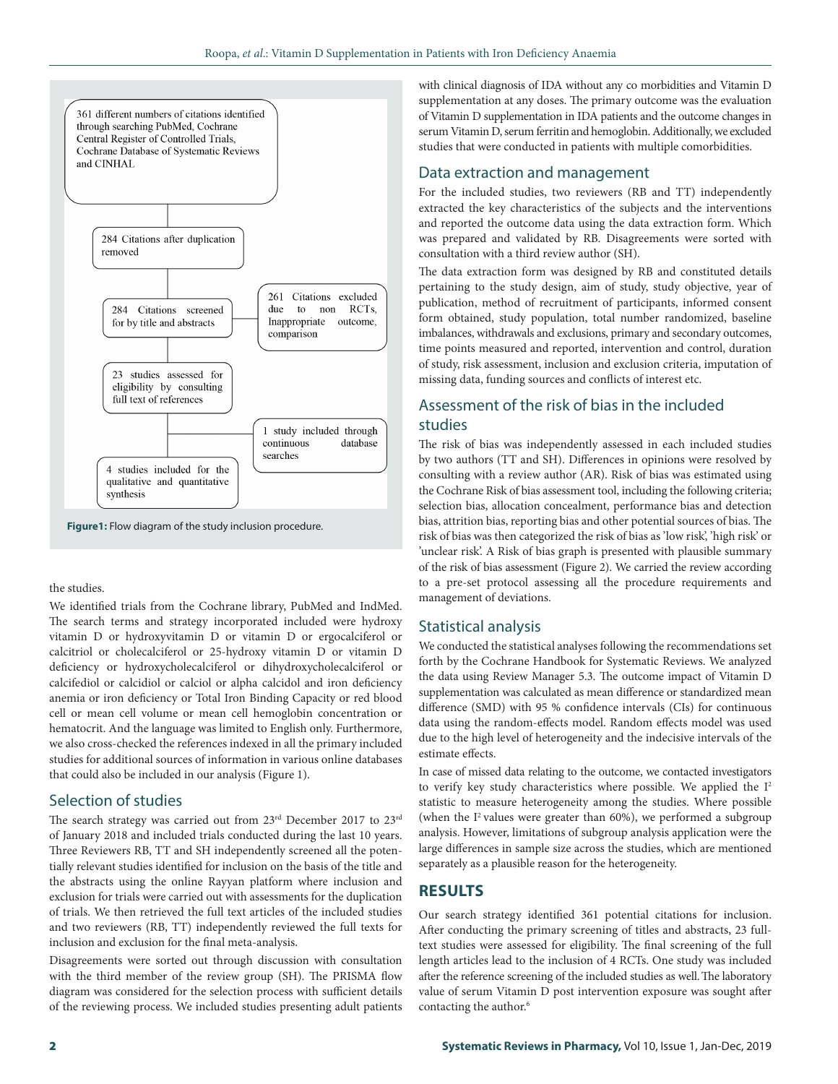

**Figure1:** Flow diagram of the study inclusion procedure.

the studies.

We identified trials from the Cochrane library, PubMed and IndMed. The search terms and strategy incorporated included were hydroxy vitamin D or hydroxyvitamin D or vitamin D or ergocalciferol or calcitriol or cholecalciferol or 25-hydroxy vitamin D or vitamin D deficiency or hydroxycholecalciferol or dihydroxycholecalciferol or calcifediol or calcidiol or calciol or alpha calcidol and iron deficiency anemia or iron deficiency or Total Iron Binding Capacity or red blood cell or mean cell volume or mean cell hemoglobin concentration or hematocrit. And the language was limited to English only. Furthermore, we also cross-checked the references indexed in all the primary included studies for additional sources of information in various online databases that could also be included in our analysis (Figure 1).

#### Selection of studies

The search strategy was carried out from 23<sup>rd</sup> December 2017 to 23<sup>rd</sup> of January 2018 and included trials conducted during the last 10 years. Three Reviewers RB, TT and SH independently screened all the potentially relevant studies identified for inclusion on the basis of the title and the abstracts using the online Rayyan platform where inclusion and exclusion for trials were carried out with assessments for the duplication of trials. We then retrieved the full text articles of the included studies and two reviewers (RB, TT) independently reviewed the full texts for inclusion and exclusion for the final meta-analysis.

Disagreements were sorted out through discussion with consultation with the third member of the review group (SH). The PRISMA flow diagram was considered for the selection process with sufficient details of the reviewing process. We included studies presenting adult patients with clinical diagnosis of IDA without any co morbidities and Vitamin D supplementation at any doses. The primary outcome was the evaluation of Vitamin D supplementation in IDA patients and the outcome changes in serum Vitamin D, serum ferritin and hemoglobin. Additionally, we excluded studies that were conducted in patients with multiple comorbidities.

# Data extraction and management

For the included studies, two reviewers (RB and TT) independently extracted the key characteristics of the subjects and the interventions and reported the outcome data using the data extraction form. Which was prepared and validated by RB. Disagreements were sorted with consultation with a third review author (SH).

The data extraction form was designed by RB and constituted details pertaining to the study design, aim of study, study objective, year of publication, method of recruitment of participants, informed consent form obtained, study population, total number randomized, baseline imbalances, withdrawals and exclusions, primary and secondary outcomes, time points measured and reported, intervention and control, duration of study, risk assessment, inclusion and exclusion criteria, imputation of missing data, funding sources and conflicts of interest etc.

# Assessment of the risk of bias in the included studies

The risk of bias was independently assessed in each included studies by two authors (TT and SH). Differences in opinions were resolved by consulting with a review author (AR). Risk of bias was estimated using the Cochrane Risk of bias assessment tool, including the following criteria; selection bias, allocation concealment, performance bias and detection bias, attrition bias, reporting bias and other potential sources of bias. The risk of bias was then categorized the risk of bias as 'low risk', 'high risk' or 'unclear risk'. A Risk of bias graph is presented with plausible summary of the risk of bias assessment (Figure 2). We carried the review according to a pre-set protocol assessing all the procedure requirements and management of deviations.

#### Statistical analysis

We conducted the statistical analyses following the recommendations set forth by the Cochrane Handbook for Systematic Reviews. We analyzed the data using Review Manager 5.3. The outcome impact of Vitamin D supplementation was calculated as mean difference or standardized mean difference (SMD) with 95 % confidence intervals (CIs) for continuous data using the random-effects model. Random effects model was used due to the high level of heterogeneity and the indecisive intervals of the estimate effects.

In case of missed data relating to the outcome, we contacted investigators to verify key study characteristics where possible. We applied the  $I<sup>2</sup>$ statistic to measure heterogeneity among the studies. Where possible (when the  $I^2$  values were greater than 60%), we performed a subgroup analysis. However, limitations of subgroup analysis application were the large differences in sample size across the studies, which are mentioned separately as a plausible reason for the heterogeneity.

# **RESULTS**

Our search strategy identified 361 potential citations for inclusion. After conducting the primary screening of titles and abstracts, 23 fulltext studies were assessed for eligibility. The final screening of the full length articles lead to the inclusion of 4 RCTs. One study was included after the reference screening of the included studies as well.The laboratory value of serum Vitamin D post intervention exposure was sought after contacting the author.<sup>6</sup>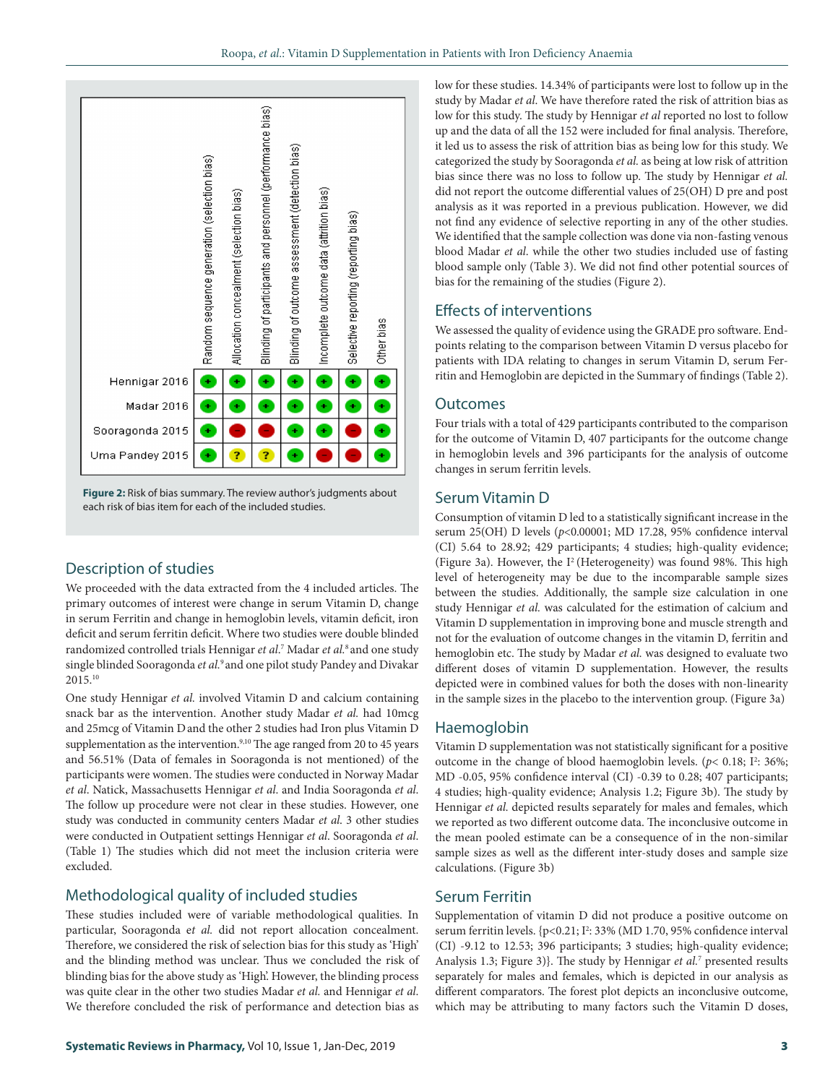



# Description of studies

We proceeded with the data extracted from the 4 included articles. The primary outcomes of interest were change in serum Vitamin D, change in serum Ferritin and change in hemoglobin levels, vitamin deficit, iron deficit and serum ferritin deficit. Where two studies were double blinded randomized controlled trials Hennigar *et al*. 7 Madar *et al.*8 and one study single blinded Sooragonda *et al.*9 and one pilot study Pandey and Divakar 2015.10

One study Hennigar *et al.* involved Vitamin D and calcium containing snack bar as the intervention. Another study Madar *et al.* had 10mcg and 25mcg of Vitamin Dand the other 2 studies had Iron plus Vitamin D supplementation as the intervention.<sup>9,10</sup> The age ranged from 20 to 45 years and 56.51% (Data of females in Sooragonda is not mentioned) of the participants were women. The studies were conducted in Norway Madar *et al*. Natick, Massachusetts Hennigar *et al*. and India Sooragonda *et al*. The follow up procedure were not clear in these studies. However, one study was conducted in community centers Madar *et al*. 3 other studies were conducted in Outpatient settings Hennigar *et al*. Sooragonda *et al*. (Table 1) The studies which did not meet the inclusion criteria were excluded.

# Methodological quality of included studies

These studies included were of variable methodological qualities. In particular, Sooragonda e*t al.* did not report allocation concealment. Therefore, we considered the risk of selection bias for this study as 'High' and the blinding method was unclear. Thus we concluded the risk of blinding bias for the above study as 'High'. However, the blinding process was quite clear in the other two studies Madar *et al.* and Hennigar *et al*. We therefore concluded the risk of performance and detection bias as

low for these studies. 14.34% of participants were lost to follow up in the study by Madar *et al*. We have therefore rated the risk of attrition bias as low for this study. The study by Hennigar *et al* reported no lost to follow up and the data of all the 152 were included for final analysis. Therefore, it led us to assess the risk of attrition bias as being low for this study. We categorized the study by Sooragonda *et al.* as being at low risk of attrition bias since there was no loss to follow up. The study by Hennigar *et al.* did not report the outcome differential values of 25(OH) D pre and post analysis as it was reported in a previous publication. However, we did not find any evidence of selective reporting in any of the other studies. We identified that the sample collection was done via non-fasting venous blood Madar *et al*. while the other two studies included use of fasting blood sample only (Table 3). We did not find other potential sources of bias for the remaining of the studies (Figure 2).

#### Effects of interventions

We assessed the quality of evidence using the GRADE pro software. Endpoints relating to the comparison between Vitamin D versus placebo for patients with IDA relating to changes in serum Vitamin D, serum Ferritin and Hemoglobin are depicted in the Summary of findings (Table 2).

#### **Outcomes**

Four trials with a total of 429 participants contributed to the comparison for the outcome of Vitamin D, 407 participants for the outcome change in hemoglobin levels and 396 participants for the analysis of outcome changes in serum ferritin levels.

#### Serum Vitamin D

Consumption of vitamin D led to a statistically significant increase in the serum 25(OH) D levels (*p*<0.00001; MD 17.28, 95% confidence interval (CI) 5.64 to 28.92; 429 participants; 4 studies; high-quality evidence; (Figure 3a). However, the  $I^2$  (Heterogeneity) was found 98%. This high level of heterogeneity may be due to the incomparable sample sizes between the studies. Additionally, the sample size calculation in one study Hennigar *et al.* was calculated for the estimation of calcium and Vitamin D supplementation in improving bone and muscle strength and not for the evaluation of outcome changes in the vitamin D, ferritin and hemoglobin etc. The study by Madar *et al.* was designed to evaluate two different doses of vitamin D supplementation. However, the results depicted were in combined values for both the doses with non-linearity in the sample sizes in the placebo to the intervention group. (Figure 3a)

#### Haemoglobin

Vitamin D supplementation was not statistically significant for a positive outcome in the change of blood haemoglobin levels. ( $p$ < 0.18; I<sup>2</sup>: 36%; MD -0.05, 95% confidence interval (CI) -0.39 to 0.28; 407 participants; 4 studies; high-quality evidence; Analysis 1.2; Figure 3b). The study by Hennigar *et al.* depicted results separately for males and females, which we reported as two different outcome data. The inconclusive outcome in the mean pooled estimate can be a consequence of in the non-similar sample sizes as well as the different inter-study doses and sample size calculations. (Figure 3b)

#### Serum Ferritin

Supplementation of vitamin D did not produce a positive outcome on serum ferritin levels. {p<0.21; I<sup>2</sup>: 33% (MD 1.70, 95% confidence interval (CI) -9.12 to 12.53; 396 participants; 3 studies; high-quality evidence; Analysis 1.3; Figure 3)}. The study by Hennigar et al.<sup>7</sup> presented results separately for males and females, which is depicted in our analysis as different comparators. The forest plot depicts an inconclusive outcome, which may be attributing to many factors such the Vitamin D doses,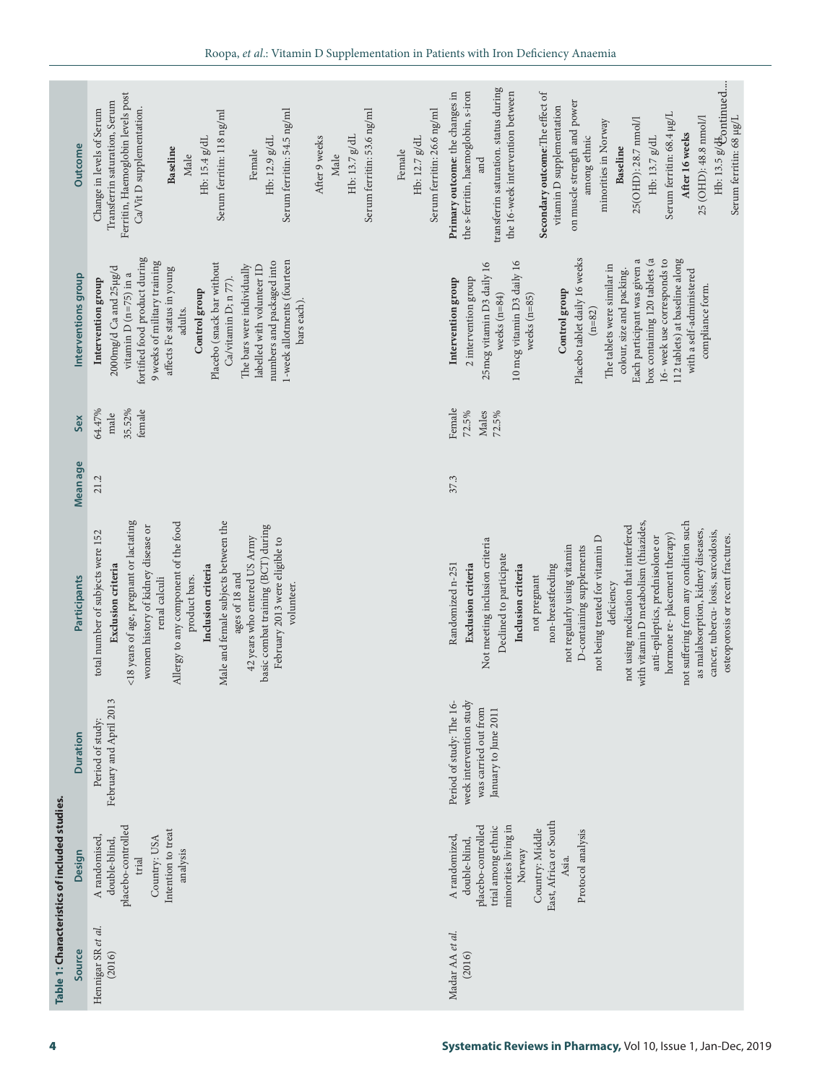| Hb: 13.5 g/ $\Phi$ ontinued<br>transferrin saturation. status during<br>the s-ferritin, haemoglobin, s-iron<br>the 16-week intervention between<br>Secondary outcome: The effect of<br>Ferritin, Haemoglobin levels post<br>Primary outcome: the changes in<br>on muscle strength and power<br>Transferrin saturation, Serum<br>vitamin D supplementation<br>Ca/Vit D supplementation.<br>Serum ferritin: 54.5 ng/ml<br>Serum ferritin: 53.6 ng/ml<br>Serum ferritin: 26.6 ng/ml<br>Change in levels of Serum<br>Serum ferritin: 118 ng/ml<br>Serum ferritin: 68.4 µg/L<br>25 (OHD): 48.8 nmol/l<br>Serum ferritin: 68 µg/L<br>25(OHD): 28.7 nmol/l<br>minorities in Norway<br>After 16 weeks<br>among ethnic<br>Hb: 13.7 g/dL<br>Hb: 13.7 g/dL<br>Hb: 12.7 g/dL<br>Hb: 15.4 g/dL<br>Hb: 12.9 g/dL<br>After 9 weeks<br><b>Outcome</b><br>Baseline<br>Baseline<br>Female<br>Female<br>Male<br>Male<br>and<br>fortified food product during<br>box containing 120 tablets (a<br>112 tablets) at baseline along<br>Placebo tablet daily 16 weeks<br>16- week use corresponds to<br>Each participant was given a<br>1-week allotments (fourteen<br>9 weeks of military training<br>numbers and packaged into<br>10 mcg vitamin D3 daily 16<br>25mcg vitamin D3 daily 16<br>Placebo (snack bar without<br>The bars were individually<br>The tablets were similar in<br>labelled with volunteer ID<br>2000mg/d Ca and 25µg/d<br>affects Fe status in young<br>colour, size and packing.<br>with a self-administered<br>vitamin $D$ (n=75) in a<br>Interventions group<br>2 intervention group<br>Intervention group<br>Ca/vitamin D; n 77).<br>Intervention group<br>compliance form.<br>Control group<br>Control group<br>weeks $(n=84)$<br>weeks $(n=85)$<br>bars each).<br>adults.<br>$(n = 82)$<br>64.47%<br>Female<br>35.52%<br>female<br>72.5%<br>Males<br>72.5%<br>male<br>37.3<br>21.2<br><18 years of age, pregnant or lactating<br>Male and female subjects between the<br>not suffering from any condition such<br>Allergy to any component of the food<br>with vitamin D metabolism (thiazides,<br>women history of kidney disease or<br>basic combat training (BCT) during<br>not using medication that interfered<br>as malabsorption, kidney diseases,<br>cancer, tubercu-losis, sarcoidosis,<br>total number of subjects were 152<br>hormone re-placement therapy)<br>osteoporosis or recent fractures.<br>not being treated for vitamin D<br>anti-epileptics, prednisolone or<br>42 years who entered US Army<br>February 2013 were eligible to<br>Not meeting inclusion criteria<br>not regularly using vitamin<br>D-containing supplements<br>Declined to participate<br>Randomized n-251<br>non-breastfeeding<br>Exclusion criteria<br>Inclusion criteria<br>Inclusion criteria<br>Exclusion criteria<br>ages of 18 and<br>product bars.<br>not pregnant<br>Participants<br>renal calculi<br>volunteer.<br>deficiency<br>February and April 2013<br>week intervention study<br>Period of study: The 16-<br>was carried out from<br>January to June 2011<br>Period of study:<br><b>Duration</b><br>East, Africa or South<br>minorities living in<br>placebo-controlled<br>placebo-controlled<br>trial among ethnic<br>Intention to treat<br>Country: Middle<br>Protocol analysis<br>A randomized,<br>A randomised,<br>Country: USA<br>double-blind,<br>double-blind,<br>Norway<br>analysis<br>Design<br>Asia.<br>trial<br>Hennigar SR et al.<br>Madar AA et al.<br>Source<br>(2016)<br>(2016) |          |  |
|------------------------------------------------------------------------------------------------------------------------------------------------------------------------------------------------------------------------------------------------------------------------------------------------------------------------------------------------------------------------------------------------------------------------------------------------------------------------------------------------------------------------------------------------------------------------------------------------------------------------------------------------------------------------------------------------------------------------------------------------------------------------------------------------------------------------------------------------------------------------------------------------------------------------------------------------------------------------------------------------------------------------------------------------------------------------------------------------------------------------------------------------------------------------------------------------------------------------------------------------------------------------------------------------------------------------------------------------------------------------------------------------------------------------------------------------------------------------------------------------------------------------------------------------------------------------------------------------------------------------------------------------------------------------------------------------------------------------------------------------------------------------------------------------------------------------------------------------------------------------------------------------------------------------------------------------------------------------------------------------------------------------------------------------------------------------------------------------------------------------------------------------------------------------------------------------------------------------------------------------------------------------------------------------------------------------------------------------------------------------------------------------------------------------------------------------------------------------------------------------------------------------------------------------------------------------------------------------------------------------------------------------------------------------------------------------------------------------------------------------------------------------------------------------------------------------------------------------------------------------------------------------------------------------------------------------------------------------------------------------------------------------------------------------------------------------------------------------------------------------------------------------------------------------------------------------------------------------------------------------------------------------------------------------------------------------------------------------------------------------------------------------------------------------------------------------------------------------------------------------------------|----------|--|
|                                                                                                                                                                                                                                                                                                                                                                                                                                                                                                                                                                                                                                                                                                                                                                                                                                                                                                                                                                                                                                                                                                                                                                                                                                                                                                                                                                                                                                                                                                                                                                                                                                                                                                                                                                                                                                                                                                                                                                                                                                                                                                                                                                                                                                                                                                                                                                                                                                                                                                                                                                                                                                                                                                                                                                                                                                                                                                                                                                                                                                                                                                                                                                                                                                                                                                                                                                                                                                                                                                            |          |  |
|                                                                                                                                                                                                                                                                                                                                                                                                                                                                                                                                                                                                                                                                                                                                                                                                                                                                                                                                                                                                                                                                                                                                                                                                                                                                                                                                                                                                                                                                                                                                                                                                                                                                                                                                                                                                                                                                                                                                                                                                                                                                                                                                                                                                                                                                                                                                                                                                                                                                                                                                                                                                                                                                                                                                                                                                                                                                                                                                                                                                                                                                                                                                                                                                                                                                                                                                                                                                                                                                                                            |          |  |
|                                                                                                                                                                                                                                                                                                                                                                                                                                                                                                                                                                                                                                                                                                                                                                                                                                                                                                                                                                                                                                                                                                                                                                                                                                                                                                                                                                                                                                                                                                                                                                                                                                                                                                                                                                                                                                                                                                                                                                                                                                                                                                                                                                                                                                                                                                                                                                                                                                                                                                                                                                                                                                                                                                                                                                                                                                                                                                                                                                                                                                                                                                                                                                                                                                                                                                                                                                                                                                                                                                            |          |  |
|                                                                                                                                                                                                                                                                                                                                                                                                                                                                                                                                                                                                                                                                                                                                                                                                                                                                                                                                                                                                                                                                                                                                                                                                                                                                                                                                                                                                                                                                                                                                                                                                                                                                                                                                                                                                                                                                                                                                                                                                                                                                                                                                                                                                                                                                                                                                                                                                                                                                                                                                                                                                                                                                                                                                                                                                                                                                                                                                                                                                                                                                                                                                                                                                                                                                                                                                                                                                                                                                                                            |          |  |
|                                                                                                                                                                                                                                                                                                                                                                                                                                                                                                                                                                                                                                                                                                                                                                                                                                                                                                                                                                                                                                                                                                                                                                                                                                                                                                                                                                                                                                                                                                                                                                                                                                                                                                                                                                                                                                                                                                                                                                                                                                                                                                                                                                                                                                                                                                                                                                                                                                                                                                                                                                                                                                                                                                                                                                                                                                                                                                                                                                                                                                                                                                                                                                                                                                                                                                                                                                                                                                                                                                            |          |  |
|                                                                                                                                                                                                                                                                                                                                                                                                                                                                                                                                                                                                                                                                                                                                                                                                                                                                                                                                                                                                                                                                                                                                                                                                                                                                                                                                                                                                                                                                                                                                                                                                                                                                                                                                                                                                                                                                                                                                                                                                                                                                                                                                                                                                                                                                                                                                                                                                                                                                                                                                                                                                                                                                                                                                                                                                                                                                                                                                                                                                                                                                                                                                                                                                                                                                                                                                                                                                                                                                                                            |          |  |
|                                                                                                                                                                                                                                                                                                                                                                                                                                                                                                                                                                                                                                                                                                                                                                                                                                                                                                                                                                                                                                                                                                                                                                                                                                                                                                                                                                                                                                                                                                                                                                                                                                                                                                                                                                                                                                                                                                                                                                                                                                                                                                                                                                                                                                                                                                                                                                                                                                                                                                                                                                                                                                                                                                                                                                                                                                                                                                                                                                                                                                                                                                                                                                                                                                                                                                                                                                                                                                                                                                            | Sex      |  |
|                                                                                                                                                                                                                                                                                                                                                                                                                                                                                                                                                                                                                                                                                                                                                                                                                                                                                                                                                                                                                                                                                                                                                                                                                                                                                                                                                                                                                                                                                                                                                                                                                                                                                                                                                                                                                                                                                                                                                                                                                                                                                                                                                                                                                                                                                                                                                                                                                                                                                                                                                                                                                                                                                                                                                                                                                                                                                                                                                                                                                                                                                                                                                                                                                                                                                                                                                                                                                                                                                                            | Mean age |  |
|                                                                                                                                                                                                                                                                                                                                                                                                                                                                                                                                                                                                                                                                                                                                                                                                                                                                                                                                                                                                                                                                                                                                                                                                                                                                                                                                                                                                                                                                                                                                                                                                                                                                                                                                                                                                                                                                                                                                                                                                                                                                                                                                                                                                                                                                                                                                                                                                                                                                                                                                                                                                                                                                                                                                                                                                                                                                                                                                                                                                                                                                                                                                                                                                                                                                                                                                                                                                                                                                                                            |          |  |
|                                                                                                                                                                                                                                                                                                                                                                                                                                                                                                                                                                                                                                                                                                                                                                                                                                                                                                                                                                                                                                                                                                                                                                                                                                                                                                                                                                                                                                                                                                                                                                                                                                                                                                                                                                                                                                                                                                                                                                                                                                                                                                                                                                                                                                                                                                                                                                                                                                                                                                                                                                                                                                                                                                                                                                                                                                                                                                                                                                                                                                                                                                                                                                                                                                                                                                                                                                                                                                                                                                            |          |  |
|                                                                                                                                                                                                                                                                                                                                                                                                                                                                                                                                                                                                                                                                                                                                                                                                                                                                                                                                                                                                                                                                                                                                                                                                                                                                                                                                                                                                                                                                                                                                                                                                                                                                                                                                                                                                                                                                                                                                                                                                                                                                                                                                                                                                                                                                                                                                                                                                                                                                                                                                                                                                                                                                                                                                                                                                                                                                                                                                                                                                                                                                                                                                                                                                                                                                                                                                                                                                                                                                                                            |          |  |
|                                                                                                                                                                                                                                                                                                                                                                                                                                                                                                                                                                                                                                                                                                                                                                                                                                                                                                                                                                                                                                                                                                                                                                                                                                                                                                                                                                                                                                                                                                                                                                                                                                                                                                                                                                                                                                                                                                                                                                                                                                                                                                                                                                                                                                                                                                                                                                                                                                                                                                                                                                                                                                                                                                                                                                                                                                                                                                                                                                                                                                                                                                                                                                                                                                                                                                                                                                                                                                                                                                            |          |  |
|                                                                                                                                                                                                                                                                                                                                                                                                                                                                                                                                                                                                                                                                                                                                                                                                                                                                                                                                                                                                                                                                                                                                                                                                                                                                                                                                                                                                                                                                                                                                                                                                                                                                                                                                                                                                                                                                                                                                                                                                                                                                                                                                                                                                                                                                                                                                                                                                                                                                                                                                                                                                                                                                                                                                                                                                                                                                                                                                                                                                                                                                                                                                                                                                                                                                                                                                                                                                                                                                                                            |          |  |
|                                                                                                                                                                                                                                                                                                                                                                                                                                                                                                                                                                                                                                                                                                                                                                                                                                                                                                                                                                                                                                                                                                                                                                                                                                                                                                                                                                                                                                                                                                                                                                                                                                                                                                                                                                                                                                                                                                                                                                                                                                                                                                                                                                                                                                                                                                                                                                                                                                                                                                                                                                                                                                                                                                                                                                                                                                                                                                                                                                                                                                                                                                                                                                                                                                                                                                                                                                                                                                                                                                            |          |  |
|                                                                                                                                                                                                                                                                                                                                                                                                                                                                                                                                                                                                                                                                                                                                                                                                                                                                                                                                                                                                                                                                                                                                                                                                                                                                                                                                                                                                                                                                                                                                                                                                                                                                                                                                                                                                                                                                                                                                                                                                                                                                                                                                                                                                                                                                                                                                                                                                                                                                                                                                                                                                                                                                                                                                                                                                                                                                                                                                                                                                                                                                                                                                                                                                                                                                                                                                                                                                                                                                                                            |          |  |
|                                                                                                                                                                                                                                                                                                                                                                                                                                                                                                                                                                                                                                                                                                                                                                                                                                                                                                                                                                                                                                                                                                                                                                                                                                                                                                                                                                                                                                                                                                                                                                                                                                                                                                                                                                                                                                                                                                                                                                                                                                                                                                                                                                                                                                                                                                                                                                                                                                                                                                                                                                                                                                                                                                                                                                                                                                                                                                                                                                                                                                                                                                                                                                                                                                                                                                                                                                                                                                                                                                            |          |  |
|                                                                                                                                                                                                                                                                                                                                                                                                                                                                                                                                                                                                                                                                                                                                                                                                                                                                                                                                                                                                                                                                                                                                                                                                                                                                                                                                                                                                                                                                                                                                                                                                                                                                                                                                                                                                                                                                                                                                                                                                                                                                                                                                                                                                                                                                                                                                                                                                                                                                                                                                                                                                                                                                                                                                                                                                                                                                                                                                                                                                                                                                                                                                                                                                                                                                                                                                                                                                                                                                                                            |          |  |
|                                                                                                                                                                                                                                                                                                                                                                                                                                                                                                                                                                                                                                                                                                                                                                                                                                                                                                                                                                                                                                                                                                                                                                                                                                                                                                                                                                                                                                                                                                                                                                                                                                                                                                                                                                                                                                                                                                                                                                                                                                                                                                                                                                                                                                                                                                                                                                                                                                                                                                                                                                                                                                                                                                                                                                                                                                                                                                                                                                                                                                                                                                                                                                                                                                                                                                                                                                                                                                                                                                            |          |  |
|                                                                                                                                                                                                                                                                                                                                                                                                                                                                                                                                                                                                                                                                                                                                                                                                                                                                                                                                                                                                                                                                                                                                                                                                                                                                                                                                                                                                                                                                                                                                                                                                                                                                                                                                                                                                                                                                                                                                                                                                                                                                                                                                                                                                                                                                                                                                                                                                                                                                                                                                                                                                                                                                                                                                                                                                                                                                                                                                                                                                                                                                                                                                                                                                                                                                                                                                                                                                                                                                                                            |          |  |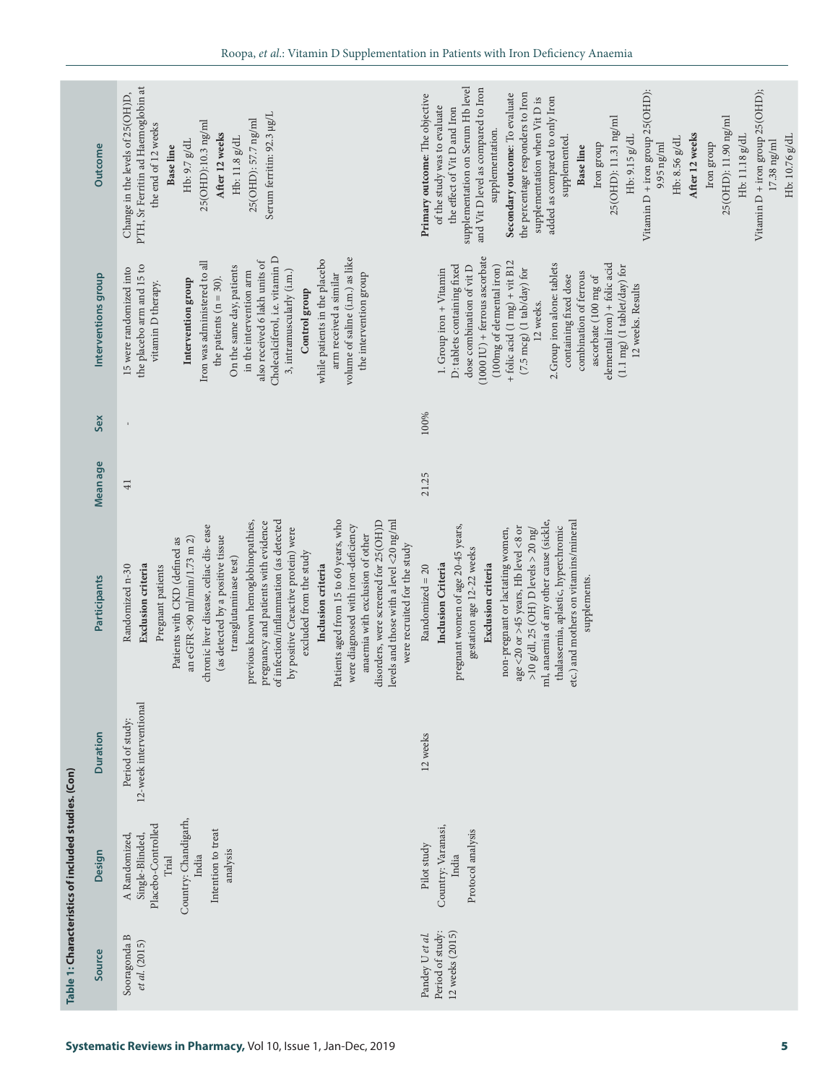|                     |                                                                                                                                                                                                                                                                                                                                                                                                                                                                                                                                                                                                                                                                                             | supplementation on Serum Hb level<br>and Vit D level as compared to Iron<br>Vitamin $D$ + iron group 25(OHD):<br>Vitamin $D$ + iron group 25(OHD);<br>the percentage responders to Iron<br>Secondary outcome: To evaluate<br>Primary outcome: The objective<br>added as compared to only Iron<br>supplementation when Vit D is<br>of the study was to evaluate<br>the effect of Vit D and Iron<br>25(OHD): 11.31 ng/ml<br>25(OHD): 11.90 ng/ml<br>supplementation.<br>After 12 weeks<br>Hb: 11.18 g/dL<br>supplemented.<br>Hb: 9.15 g/dL<br>Hb: 8.56 g/dL<br>Iron group<br>Iron group<br>$9.95$ ng/ml<br>Base line |
|---------------------|---------------------------------------------------------------------------------------------------------------------------------------------------------------------------------------------------------------------------------------------------------------------------------------------------------------------------------------------------------------------------------------------------------------------------------------------------------------------------------------------------------------------------------------------------------------------------------------------------------------------------------------------------------------------------------------------|--------------------------------------------------------------------------------------------------------------------------------------------------------------------------------------------------------------------------------------------------------------------------------------------------------------------------------------------------------------------------------------------------------------------------------------------------------------------------------------------------------------------------------------------------------------------------------------------------------------------|
|                     |                                                                                                                                                                                                                                                                                                                                                                                                                                                                                                                                                                                                                                                                                             |                                                                                                                                                                                                                                                                                                                                                                                                                                                                                                                                                                                                                    |
| Interventions group | Iron was administered to all<br>the placebo arm and 15 to<br>On the same day, patients<br>15 were randomized into<br>3, intramuscularly (i.m.)<br>in the intervention arm<br>the intervention group<br>arm received a similar<br>the patients ( $n = 30$ ).<br>Intervention group<br>vitamin D therapy.<br>Control group                                                                                                                                                                                                                                                                                                                                                                    | $(1000 \text{ IU}) + \text{ferrous}$ ascorbate<br>+ folic acid $(1 \text{ mg})$ + vit B12<br>2. Group iron alone: tablets<br>elemental iron) + folic acid<br>dose combination of vit D<br>D: tablets containing fixed<br>$(1.1 \text{ mg})$ (1 tablet/day) for<br>$(100\,\mathrm{mg}$ of elemental iron)<br>$(7.5 \text{ mcg})$ (1 tab/day) for<br>1. Group iron + Vitamin<br>combination of ferrous<br>containing fixed dose<br>ascorbate (100 mg of<br>12 weeks. Results<br>12 weeks.                                                                                                                            |
| Sex                 |                                                                                                                                                                                                                                                                                                                                                                                                                                                                                                                                                                                                                                                                                             | 100%                                                                                                                                                                                                                                                                                                                                                                                                                                                                                                                                                                                                               |
| Mean age            | 41                                                                                                                                                                                                                                                                                                                                                                                                                                                                                                                                                                                                                                                                                          | 21.25                                                                                                                                                                                                                                                                                                                                                                                                                                                                                                                                                                                                              |
| Participants        | of infection/inflammation (as detected<br>Patients aged from 15 to 60 years, who<br>levels and those with a level <20 ng/ml<br>disorders, were screened for 25(OH)D<br>previous known hemoglobinopathies,<br>pregnancy and patients with evidence<br>chronic liver disease, celiac dis-ease<br>were diagnosed with iron-deficiency<br>by positive Creactive protein) were<br>anaemia with exclusion of other<br>(as detected by a positive tissue<br>an eGFR <90 ml/min/1.73 m 2)<br>Patients with CKD (defined as<br>were recruited for the study<br>excluded from the study<br>transglutaminase test)<br>Exclusion criteria<br>Pregnant patients<br>Inclusion criteria<br>Randomized n-30 | ml, anaemia of any other cause (sickle,<br>etc.) and mothers on vitamins/mineral<br>pregnant women of age 20-45 years,<br>thalassemia, aplastic, hyperchromic<br>age <20 or >45 years, Hb level <8 or<br>non-pregnant or lactating women,<br>$>$ 10 g/dl, 25 (OH) D levels $>$ 20 ng/<br>gestation age 12-22 weeks<br>Inclusion Criteria<br>Exclusion criteria<br>Randomized $= 20$<br>supplements.                                                                                                                                                                                                                |
| <b>Duration</b>     | 12-week interventional<br>Period of study:                                                                                                                                                                                                                                                                                                                                                                                                                                                                                                                                                                                                                                                  | 12 weeks                                                                                                                                                                                                                                                                                                                                                                                                                                                                                                                                                                                                           |
| Design              | Country: Chandigarh,<br>Placebo-Controlled<br>Intention to treat<br>Single-Blinded,<br>A Randomized<br>analysis<br>India<br>Trial                                                                                                                                                                                                                                                                                                                                                                                                                                                                                                                                                           | Country: Varanasi,<br>Protocol analysis<br>Pilot study<br>India                                                                                                                                                                                                                                                                                                                                                                                                                                                                                                                                                    |
| Source              | Sooragonda B<br>et al. (2015)                                                                                                                                                                                                                                                                                                                                                                                                                                                                                                                                                                                                                                                               | Period of study:<br>12 weeks (2015)<br>Pandey U et al.                                                                                                                                                                                                                                                                                                                                                                                                                                                                                                                                                             |
|                     | Outcome                                                                                                                                                                                                                                                                                                                                                                                                                                                                                                                                                                                                                                                                                     | PTH, Sr Ferritin ad Haemoglobin at<br>Change in the levels of 25(OH)D,<br>Serum ferritin: 92.3 µg/L<br>25(OHD): 57.7 ng/ml<br>25(OHD):10.3 ng/ml<br>the end of 12 weeks<br>After 12 weeks<br>Hb: $11.8$ g/dL<br>Hb: 9.7 g/dL<br><b>Baseline</b><br>Cholecalciferol, i.e. vitamin D<br>volume of saline (i.m.) as like<br>while patients in the placebo<br>also received 6 lakh units of                                                                                                                                                                                                                            |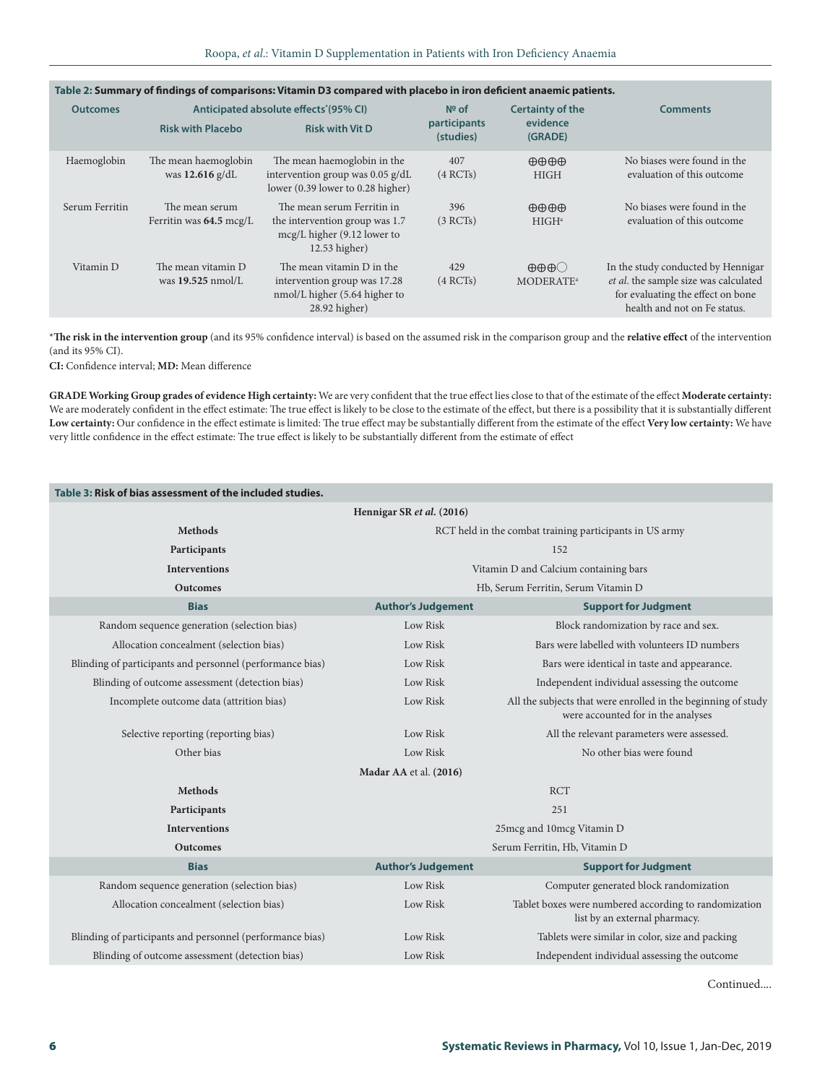| <b>Outcomes</b> | Anticipated absolute effects <sup>*</sup> (95% CI) |                                                                                                                  | $N2$ of                   | <b>Certainty of the</b>                                  | <b>Comments</b>                                                                                                                                  |
|-----------------|----------------------------------------------------|------------------------------------------------------------------------------------------------------------------|---------------------------|----------------------------------------------------------|--------------------------------------------------------------------------------------------------------------------------------------------------|
|                 | <b>Risk with Placebo</b>                           | <b>Risk with Vit D</b>                                                                                           | participants<br>(studies) | evidence<br>(GRADE)                                      |                                                                                                                                                  |
| Haemoglobin     | The mean haemoglobin<br>was $12.616$ g/dL          | The mean haemoglobin in the<br>intervention group was $0.05$ g/dL<br>lower $(0.39$ lower to $0.28$ higher)       | 407<br>(4 RCTs)           | $\oplus \oplus \oplus \oplus$<br><b>HIGH</b>             | No biases were found in the<br>evaluation of this outcome                                                                                        |
| Serum Ferritin  | The mean serum<br>Ferritin was 64.5 mcg/L          | The mean serum Ferritin in<br>the intervention group was 1.7<br>$mcg/L$ higher (9.12 lower to<br>$12.53$ higher) | 396<br>(3 RCTs)           | $\oplus \oplus \oplus \oplus$<br>HIGH <sup>a</sup>       | No biases were found in the<br>evaluation of this outcome                                                                                        |
| Vitamin D       | The mean vitamin D<br>was $19.525$ nmol/L          | The mean vitamin D in the<br>intervention group was 17.28<br>nmol/L higher (5.64 higher to<br>28.92 higher)      | 429<br>(4 RCTs)           | $\oplus \oplus \oplus \bigcirc$<br>MODERATE <sup>a</sup> | In the study conducted by Hennigar<br>et al. the sample size was calculated<br>for evaluating the effect on bone<br>health and not on Fe status. |

# **Table 2: Summary of findings of comparisons: Vitamin D3 compared with placebo in iron deficient anaemic patients.**

\***The risk in the intervention group** (and its 95% confidence interval) is based on the assumed risk in the comparison group and the **relative effect** of the intervention (and its 95% CI).

**CI:** Confidence interval; **MD:** Mean difference

**GRADE Working Group grades of evidence High certainty:** We are very confident that the true effect lies close to that of the estimate of the effect **Moderate certainty:** We are moderately confident in the effect estimate: The true effect is likely to be close to the estimate of the effect, but there is a possibility that it is substantially different **Low certainty:** Our confidence in the effect estimate is limited: The true effect may be substantially different from the estimate of the effect **Very low certainty:** We have very little confidence in the effect estimate: The true effect is likely to be substantially different from the estimate of effect

| Table 3: Risk of bias assessment of the included studies. |                                     |                                                                                                     |  |  |  |  |  |
|-----------------------------------------------------------|-------------------------------------|-----------------------------------------------------------------------------------------------------|--|--|--|--|--|
|                                                           | Hennigar SR et al. (2016)           |                                                                                                     |  |  |  |  |  |
| <b>Methods</b>                                            |                                     | RCT held in the combat training participants in US army                                             |  |  |  |  |  |
| Participants                                              |                                     | 152                                                                                                 |  |  |  |  |  |
| <b>Interventions</b>                                      |                                     | Vitamin D and Calcium containing bars                                                               |  |  |  |  |  |
| <b>Outcomes</b>                                           | Hb, Serum Ferritin, Serum Vitamin D |                                                                                                     |  |  |  |  |  |
| <b>Bias</b>                                               | <b>Author's Judgement</b>           | <b>Support for Judgment</b>                                                                         |  |  |  |  |  |
| Random sequence generation (selection bias)               | Low Risk                            | Block randomization by race and sex.                                                                |  |  |  |  |  |
| Allocation concealment (selection bias)                   | Low Risk                            | Bars were labelled with volunteers ID numbers                                                       |  |  |  |  |  |
| Blinding of participants and personnel (performance bias) | Low Risk                            | Bars were identical in taste and appearance.                                                        |  |  |  |  |  |
| Blinding of outcome assessment (detection bias)           | Low Risk                            | Independent individual assessing the outcome                                                        |  |  |  |  |  |
| Incomplete outcome data (attrition bias)                  | Low Risk                            | All the subjects that were enrolled in the beginning of study<br>were accounted for in the analyses |  |  |  |  |  |
| Selective reporting (reporting bias)                      | Low Risk                            | All the relevant parameters were assessed.                                                          |  |  |  |  |  |
| Other bias                                                | Low Risk                            | No other bias were found                                                                            |  |  |  |  |  |
|                                                           | Madar AA et al. (2016)              |                                                                                                     |  |  |  |  |  |
| <b>Methods</b>                                            |                                     | <b>RCT</b>                                                                                          |  |  |  |  |  |
| Participants                                              |                                     | 251                                                                                                 |  |  |  |  |  |
| <b>Interventions</b>                                      |                                     | 25mcg and 10mcg Vitamin D                                                                           |  |  |  |  |  |
| <b>Outcomes</b>                                           |                                     | Serum Ferritin, Hb, Vitamin D                                                                       |  |  |  |  |  |
| <b>Bias</b>                                               | <b>Author's Judgement</b>           | <b>Support for Judgment</b>                                                                         |  |  |  |  |  |
| Random sequence generation (selection bias)               | Low Risk                            | Computer generated block randomization                                                              |  |  |  |  |  |
| Allocation concealment (selection bias)                   | Low Risk                            | Tablet boxes were numbered according to randomization<br>list by an external pharmacy.              |  |  |  |  |  |
| Blinding of participants and personnel (performance bias) | Low Risk                            | Tablets were similar in color, size and packing                                                     |  |  |  |  |  |
| Blinding of outcome assessment (detection bias)           | Low Risk                            | Independent individual assessing the outcome                                                        |  |  |  |  |  |

Continued....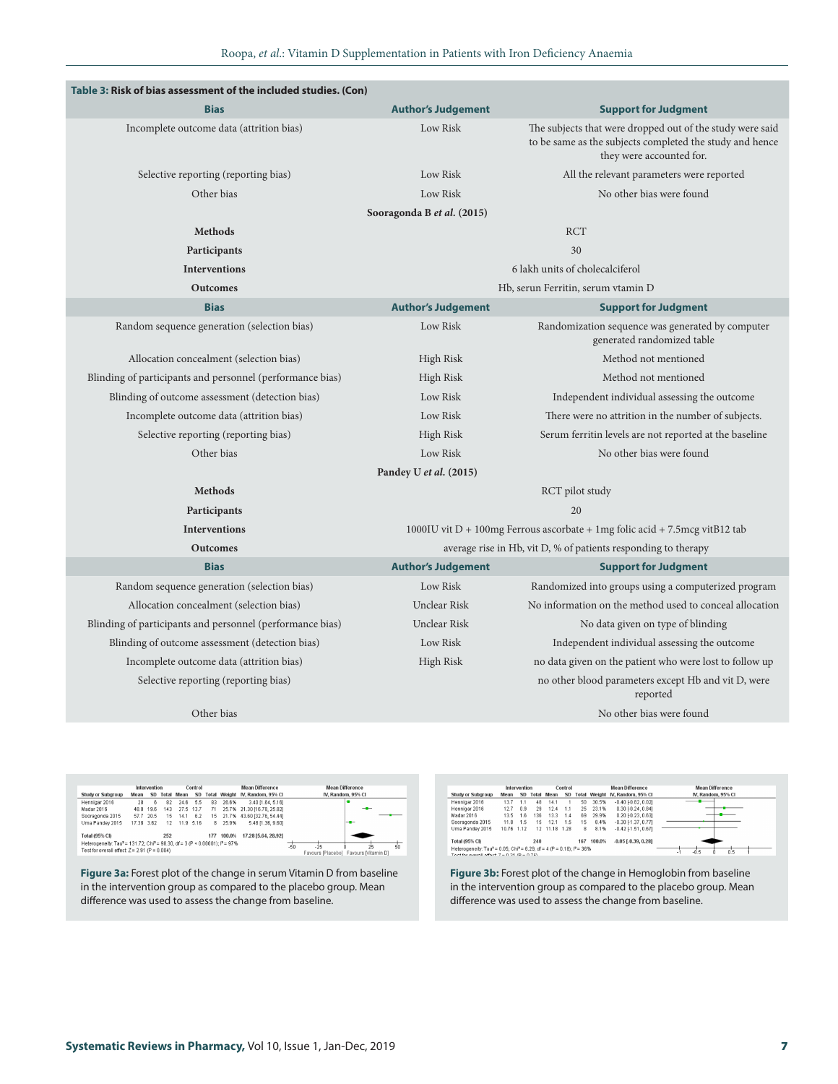| Table 3: Risk of bias assessment of the included studies. (Con) |                            |                                                                                                                                                   |
|-----------------------------------------------------------------|----------------------------|---------------------------------------------------------------------------------------------------------------------------------------------------|
| <b>Bias</b>                                                     | <b>Author's Judgement</b>  | <b>Support for Judgment</b>                                                                                                                       |
| Incomplete outcome data (attrition bias)                        | Low Risk                   | The subjects that were dropped out of the study were said<br>to be same as the subjects completed the study and hence<br>they were accounted for. |
| Selective reporting (reporting bias)                            | Low Risk                   | All the relevant parameters were reported                                                                                                         |
| Other bias                                                      | Low Risk                   | No other bias were found                                                                                                                          |
|                                                                 | Sooragonda B et al. (2015) |                                                                                                                                                   |
| <b>Methods</b>                                                  |                            | <b>RCT</b>                                                                                                                                        |
| Participants                                                    |                            | 30                                                                                                                                                |
| <b>Interventions</b>                                            |                            | 6 lakh units of cholecalciferol                                                                                                                   |
| <b>Outcomes</b>                                                 |                            | Hb, serun Ferritin, serum vtamin D                                                                                                                |
| <b>Bias</b>                                                     | <b>Author's Judgement</b>  | <b>Support for Judgment</b>                                                                                                                       |
| Random sequence generation (selection bias)                     | Low Risk                   | Randomization sequence was generated by computer<br>generated randomized table                                                                    |
| Allocation concealment (selection bias)                         | High Risk                  | Method not mentioned                                                                                                                              |
| Blinding of participants and personnel (performance bias)       | High Risk                  | Method not mentioned                                                                                                                              |
| Blinding of outcome assessment (detection bias)                 | Low Risk                   | Independent individual assessing the outcome                                                                                                      |
| Incomplete outcome data (attrition bias)                        | Low Risk                   | There were no attrition in the number of subjects.                                                                                                |
| Selective reporting (reporting bias)                            | High Risk                  | Serum ferritin levels are not reported at the baseline                                                                                            |
| Other bias                                                      | Low Risk                   | No other bias were found                                                                                                                          |
|                                                                 | Pandey U et al. (2015)     |                                                                                                                                                   |
| <b>Methods</b>                                                  |                            | RCT pilot study                                                                                                                                   |
| Participants                                                    |                            | 20                                                                                                                                                |
| <b>Interventions</b>                                            |                            | 1000IU vit $D + 100$ mg Ferrous ascorbate + 1mg folic acid + 7.5mcg vitB12 tab                                                                    |
| <b>Outcomes</b>                                                 |                            | average rise in Hb, vit D, % of patients responding to therapy                                                                                    |
| <b>Bias</b>                                                     | <b>Author's Judgement</b>  | <b>Support for Judgment</b>                                                                                                                       |
| Random sequence generation (selection bias)                     | Low Risk                   | Randomized into groups using a computerized program                                                                                               |
| Allocation concealment (selection bias)                         | Unclear Risk               | No information on the method used to conceal allocation                                                                                           |
| Blinding of participants and personnel (performance bias)       | Unclear Risk               | No data given on type of blinding                                                                                                                 |
| Blinding of outcome assessment (detection bias)                 | Low Risk                   | Independent individual assessing the outcome                                                                                                      |
| Incomplete outcome data (attrition bias)                        | High Risk                  | no data given on the patient who were lost to follow up                                                                                           |
| Selective reporting (reporting bias)                            |                            | no other blood parameters except Hb and vit D, were<br>reported                                                                                   |
| Other bias                                                      |                            | No other bias were found                                                                                                                          |

|                                                 |            | Intervention |          |      | <b>Mean Difference</b><br>Control<br><b>Mean Difference</b><br>IV. Random, 95% CI<br><b>SD</b><br>Total Weight IV, Random, 95% Cl<br>5.5<br>26.6%<br>3.40 [1.64, 5.16]<br>83<br>25.7% 21.30 116.78.25.821<br>27.5 13.7<br>71<br>--<br>43.60 [32.76, 54.44]<br>6.2<br>15 21.7%<br>11.9 5.16<br>8 25.9%<br>5.48 [1.36, 9.60]<br>$-1$<br>17.28 [5.64, 28.92]<br>100.0%<br>177<br>Heterogeneity: Tau <sup>2</sup> = 131.72; Chi <sup>2</sup> = 98.30, df = 3 (P < 0.00001); l <sup>2</sup> = 97%<br>-50<br>60<br>$-25$<br>25 |  |                                       |
|-------------------------------------------------|------------|--------------|----------|------|--------------------------------------------------------------------------------------------------------------------------------------------------------------------------------------------------------------------------------------------------------------------------------------------------------------------------------------------------------------------------------------------------------------------------------------------------------------------------------------------------------------------------|--|---------------------------------------|
| <b>Study or Subgroup</b>                        | Mean       |              | SD Total | Mean |                                                                                                                                                                                                                                                                                                                                                                                                                                                                                                                          |  |                                       |
| Hennigar 2016                                   | 28         | ĥ            | 82       | 24.6 |                                                                                                                                                                                                                                                                                                                                                                                                                                                                                                                          |  |                                       |
| Madar 2016                                      |            | 48.8 19.6    | 143      |      |                                                                                                                                                                                                                                                                                                                                                                                                                                                                                                                          |  |                                       |
| Sooragonda 2015                                 | 57.7 20.5  |              | 15       | 14.1 |                                                                                                                                                                                                                                                                                                                                                                                                                                                                                                                          |  |                                       |
| Uma Pandev 2015                                 | 17.38 3.62 |              | 12       |      |                                                                                                                                                                                                                                                                                                                                                                                                                                                                                                                          |  |                                       |
| Total (95% CI)                                  |            |              | 252      |      |                                                                                                                                                                                                                                                                                                                                                                                                                                                                                                                          |  |                                       |
| Test for overall effect: $Z = 2.91$ (P = 0.004) |            |              |          |      |                                                                                                                                                                                                                                                                                                                                                                                                                                                                                                                          |  | Favours [Placebo] Favours [Vitamin D] |

**Figure 3a:** Forest plot of the change in serum Vitamin D from baseline in the intervention group as compared to the placebo group. Mean difference was used to assess the change from baseline.

|                                                                                                                                                          | Intervention |      |     |               |                              |    |                    | <b>Mean Difference</b>       | <b>Mean Difference</b> |
|----------------------------------------------------------------------------------------------------------------------------------------------------------|--------------|------|-----|---------------|------------------------------|----|--------------------|------------------------------|------------------------|
| <b>Study or Subgroup</b><br>SD<br>Total<br>Mean                                                                                                          |              | Mean | SD  | Total         | IV. Random, 95% CI<br>Weight |    | IV. Random, 95% CI |                              |                        |
| Hennigar 2016                                                                                                                                            | 13.7         | 1.1  | 48  | 14.1          |                              | 50 | 30.5%              | $-0.40$ $[-0.82, 0.02]$      |                        |
| Hennigar 2016                                                                                                                                            | 12.7         | 0.9  | 29  | 12.4          | 1.1                          | 25 | 23.1%              | $0.30$ [ $-0.24$ , $0.84$ ]  |                        |
| Madar 2016                                                                                                                                               | 13.5         | 16   | 136 | 13.3          | 14                           | 69 | 29.9%              | $0.20$ [ $-0.23$ , $0.63$ ]  |                        |
| Sooragonda 2015                                                                                                                                          | 11.8         | 1.5  | 15  | 12.1          | 1.5                          | 15 | 8.4%               | $-0.30$ [ $-1.37$ , $0.77$ ] |                        |
| Uma Pandey 2015                                                                                                                                          | 10.76 1.12   |      |     | 12 11:18 1.28 |                              | я  | 8.1%               | $-0.42$ $-1.51$ . $0.67$     |                        |
| <b>Total (95% CI)</b><br>240<br>167                                                                                                                      |              |      |     |               |                              |    | 100.0%             | $-0.05$ [ $-0.39$ , $0.28$ ] |                        |
| Heterogeneity: Tau <sup>2</sup> = 0.05; Chi <sup>2</sup> = 6.29, df = 4 (P = 0.18); i <sup>2</sup> = 36%<br>Toet for everall effect: 7 - 8.21 /P - 8.76) |              |      |     |               |                              |    |                    |                              | 0.5<br>$-0.5$<br>۰     |

**Figure 3b:** Forest plot of the change in Hemoglobin from baseline in the intervention group as compared to the placebo group. Mean difference was used to assess the change from baseline.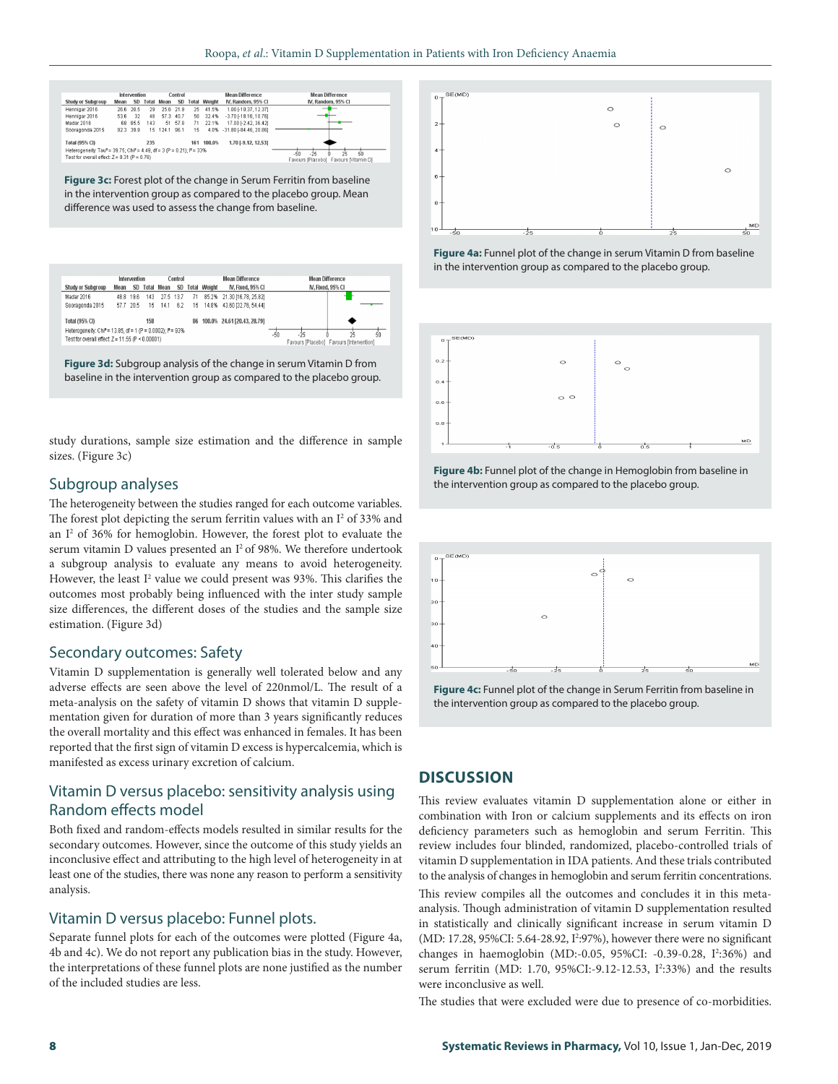| Intervention<br>Control                                                                                                                                                                       |           |         |     |                   |           |              |                              | <b>Mean Difference</b>      | <b>Mean Difference</b> |  |  |  |
|-----------------------------------------------------------------------------------------------------------------------------------------------------------------------------------------------|-----------|---------|-----|-------------------|-----------|--------------|------------------------------|-----------------------------|------------------------|--|--|--|
| <b>Study or Subgroup</b>                                                                                                                                                                      | Mean      | SD      |     | <b>Total Mean</b> | <b>SD</b> | <b>Fotal</b> | Weight<br>IV, Random, 95% CI |                             | IV, Random, 95% CI     |  |  |  |
| Hennigar 2016                                                                                                                                                                                 | 26.6 20.5 |         | 29  |                   | 25.6 21.9 | 25           | 41.5%                        | 1.00 [-10.37, 12.37]        | -<br>_                 |  |  |  |
| Hennigar 2016                                                                                                                                                                                 | 53.6      | -32     | 48  | 57.3 40.7         |           | 50           | 32.4%                        | $-3.70$ F18.16, 10.761      |                        |  |  |  |
| Madar 2016                                                                                                                                                                                    |           | 68 85.5 | 143 |                   | 51 57.8   | 71           | 22.1%                        | 17.00 - 2.42.36.42          |                        |  |  |  |
| Sooragonda 2015                                                                                                                                                                               | 92.3 39.9 |         |     | 15 124.1 96.1     |           | 15           |                              | 4.0% -31.80 [-84.46, 20.86] |                        |  |  |  |
| 100.0%<br>235<br>1.70 [-9.12, 12.53]<br><b>Total (95% CI)</b><br>161                                                                                                                          |           |         |     |                   |           |              |                              |                             |                        |  |  |  |
| Heterogeneity: Tau* = 39.75; Chi* = 4.49, df = 3 (P = 0.21); i* = 33%<br>$-25$<br>25<br>$50 - 50$<br>Test for overall effect $Z = 0.31$ (P = 0.76)<br>Favours Mitamin DI<br>Favours (Placebol |           |         |     |                   |           |              |                              |                             |                        |  |  |  |

**Figure 3c:** Forest plot of the change in Serum Ferritin from baseline in the intervention group as compared to the placebo group. Mean difference was used to assess the change from baseline.

| Intervention                                                                                                                             |      |           |     |                   | Control |    | <b>Mean Difference</b> |                              |       | <b>Mean Difference</b>                   |                         |    |  |
|------------------------------------------------------------------------------------------------------------------------------------------|------|-----------|-----|-------------------|---------|----|------------------------|------------------------------|-------|------------------------------------------|-------------------------|----|--|
| <b>Study or Subgroup</b>                                                                                                                 | Mean |           |     | SD Total Mean     | SD.     |    | <b>Total Weight</b>    | IV. Fixed, 95% CI            |       |                                          | <b>N. Fixed. 95% CI</b> |    |  |
| Madar 2016                                                                                                                               |      | 48.8 19.6 |     | 143 27.5 13.7     |         | 71 |                        | 85.2% 21.30 [16.78, 25.82]   |       |                                          |                         |    |  |
| Sooragonda 2015                                                                                                                          |      |           |     | 57.7 20.5 15 14.1 | 6.2     |    |                        | 15 14.8% 43.60 132.76.54.441 |       |                                          |                         |    |  |
| Total (95% CI)                                                                                                                           |      |           | 158 |                   |         | 86 |                        | 100.0% 24.61 [20.43, 28.79]  |       |                                          |                         |    |  |
| Heterogeneity: Chi <sup>2</sup> = 13.85, df = 1 (P = 0.0002); I <sup>2</sup> = 93%<br>Test for overall effect: $Z = 11.55$ (P < 0.00001) |      |           |     |                   |         |    |                        |                              | $-50$ | Favours [Placebo] Favours [Intervention] | 25                      | 50 |  |

**Figure 3d:** Subgroup analysis of the change in serum Vitamin D from baseline in the intervention group as compared to the placebo group.

study durations, sample size estimation and the difference in sample sizes. (Figure 3c)

#### Subgroup analyses

The heterogeneity between the studies ranged for each outcome variables. The forest plot depicting the serum ferritin values with an  $I^2$  of 33% and an I<sup>2</sup> of 36% for hemoglobin. However, the forest plot to evaluate the serum vitamin D values presented an I<sup>2</sup> of 98%. We therefore undertook a subgroup analysis to evaluate any means to avoid heterogeneity. However, the least  $I^2$  value we could present was 93%. This clarifies the outcomes most probably being influenced with the inter study sample size differences, the different doses of the studies and the sample size estimation. (Figure 3d)

#### Secondary outcomes: Safety

Vitamin D supplementation is generally well tolerated below and any adverse effects are seen above the level of 220nmol/L. The result of a meta-analysis on the safety of vitamin D shows that vitamin D supplementation given for duration of more than 3 years significantly reduces the overall mortality and this effect was enhanced in females. It has been reported that the first sign of vitamin D excess is hypercalcemia, which is manifested as excess urinary excretion of calcium.

# Vitamin D versus placebo: sensitivity analysis using Random effects model

Both fixed and random-effects models resulted in similar results for the secondary outcomes. However, since the outcome of this study yields an inconclusive effect and attributing to the high level of heterogeneity in at least one of the studies, there was none any reason to perform a sensitivity analysis.

#### Vitamin D versus placebo: Funnel plots.

Separate funnel plots for each of the outcomes were plotted (Figure 4a, 4b and 4c). We do not report any publication bias in the study. However, the interpretations of these funnel plots are none justified as the number of the included studies are less.



**Figure 4a:** Funnel plot of the change in serum Vitamin D from baseline in the intervention group as compared to the placebo group.



**Figure 4b:** Funnel plot of the change in Hemoglobin from baseline in the intervention group as compared to the placebo group.



**Figure 4c:** Funnel plot of the change in Serum Ferritin from baseline in the intervention group as compared to the placebo group.

#### **DISCUSSION**

This review evaluates vitamin D supplementation alone or either in combination with Iron or calcium supplements and its effects on iron deficiency parameters such as hemoglobin and serum Ferritin. This review includes four blinded, randomized, placebo-controlled trials of vitamin D supplementation in IDA patients. And these trials contributed to the analysis of changes in hemoglobin and serum ferritin concentrations. This review compiles all the outcomes and concludes it in this metaanalysis. Though administration of vitamin D supplementation resulted in statistically and clinically significant increase in serum vitamin D (MD: 17.28, 95%CI: 5.64-28.92, I<sup>2</sup>:97%), however there were no significant changes in haemoglobin (MD:-0.05, 95%CI: -0.39-0.28, I<sup>2</sup>:36%) and serum ferritin (MD: 1.70, 95%CI:-9.12-12.53, I<sup>2</sup>:33%) and the results were inconclusive as well.

The studies that were excluded were due to presence of co-morbidities.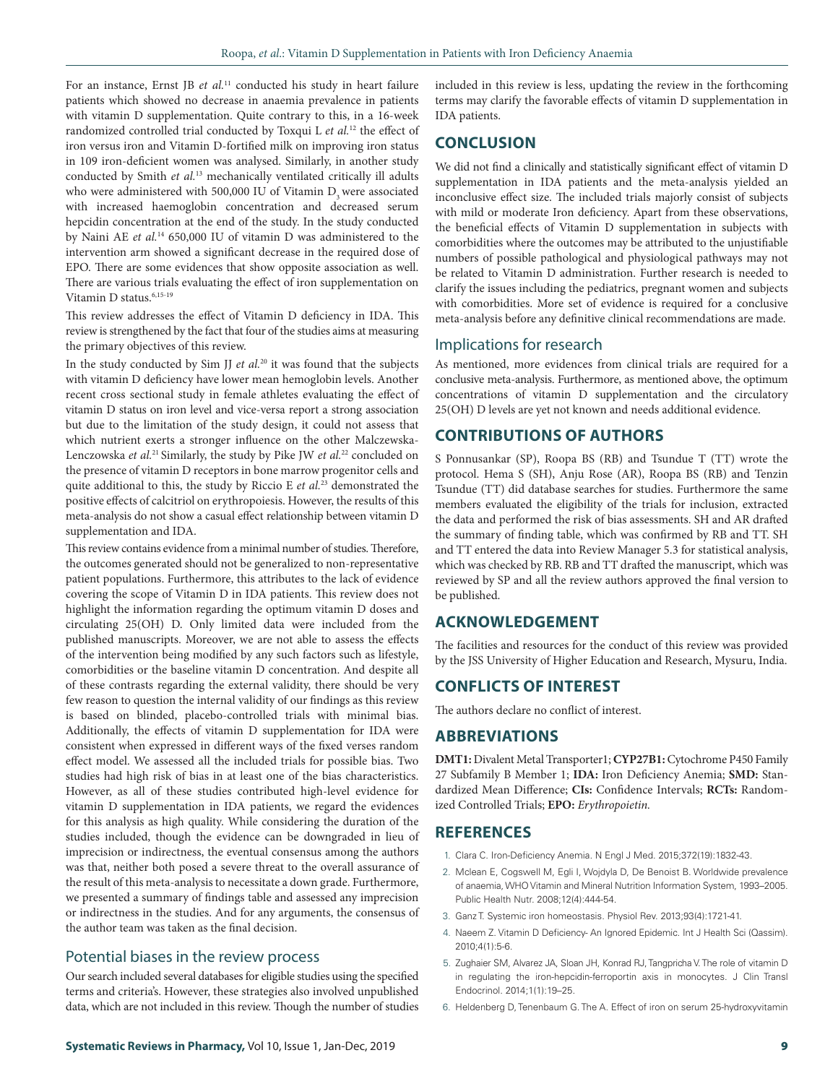For an instance, Ernst JB et al.<sup>11</sup> conducted his study in heart failure patients which showed no decrease in anaemia prevalence in patients with vitamin D supplementation. Quite contrary to this, in a 16-week randomized controlled trial conducted by Toxqui L *et al.*12 the effect of iron versus iron and Vitamin D-fortified milk on improving iron status in 109 iron-deficient women was analysed. Similarly, in another study conducted by Smith *et al.*13 mechanically ventilated critically ill adults who were administered with 500,000 IU of Vitamin D<sub>a</sub> were associated with increased haemoglobin concentration and decreased serum hepcidin concentration at the end of the study. In the study conducted by Naini AE *et al.*14 650,000 IU of vitamin D was administered to the intervention arm showed a significant decrease in the required dose of EPO. There are some evidences that show opposite association as well. There are various trials evaluating the effect of iron supplementation on Vitamin D status.<sup>6,15-19</sup>

This review addresses the effect of Vitamin D deficiency in IDA. This review is strengthened by the fact that four of the studies aims at measuring the primary objectives of this review.

In the study conducted by Sim JJ *et al.*20 it was found that the subjects with vitamin D deficiency have lower mean hemoglobin levels. Another recent cross sectional study in female athletes evaluating the effect of vitamin D status on iron level and vice-versa report a strong association but due to the limitation of the study design, it could not assess that which nutrient exerts a stronger influence on the other Malczewska-Lenczowska *et al.*21 Similarly, the study by Pike JW *et al.*22 concluded on the presence of vitamin D receptors in bone marrow progenitor cells and quite additional to this, the study by Riccio E *et al.*23 demonstrated the positive effects of calcitriol on erythropoiesis. However, the results of this meta-analysis do not show a casual effect relationship between vitamin D supplementation and IDA.

This review contains evidence from a minimal number of studies. Therefore, the outcomes generated should not be generalized to non-representative patient populations. Furthermore, this attributes to the lack of evidence covering the scope of Vitamin D in IDA patients. This review does not highlight the information regarding the optimum vitamin D doses and circulating 25(OH) D. Only limited data were included from the published manuscripts. Moreover, we are not able to assess the effects of the intervention being modified by any such factors such as lifestyle, comorbidities or the baseline vitamin D concentration. And despite all of these contrasts regarding the external validity, there should be very few reason to question the internal validity of our findings as this review is based on blinded, placebo-controlled trials with minimal bias. Additionally, the effects of vitamin D supplementation for IDA were consistent when expressed in different ways of the fixed verses random effect model. We assessed all the included trials for possible bias. Two studies had high risk of bias in at least one of the bias characteristics. However, as all of these studies contributed high-level evidence for vitamin D supplementation in IDA patients, we regard the evidences for this analysis as high quality. While considering the duration of the studies included, though the evidence can be downgraded in lieu of imprecision or indirectness, the eventual consensus among the authors was that, neither both posed a severe threat to the overall assurance of the result of this meta-analysis to necessitate a down grade. Furthermore, we presented a summary of findings table and assessed any imprecision or indirectness in the studies. And for any arguments, the consensus of the author team was taken as the final decision.

#### Potential biases in the review process

Our search included several databases for eligible studies using the specified terms and criteria's. However, these strategies also involved unpublished data, which are not included in this review. Though the number of studies

included in this review is less, updating the review in the forthcoming terms may clarify the favorable effects of vitamin D supplementation in IDA patients.

### **CONCLUSION**

We did not find a clinically and statistically significant effect of vitamin D supplementation in IDA patients and the meta-analysis yielded an inconclusive effect size. The included trials majorly consist of subjects with mild or moderate Iron deficiency. Apart from these observations, the beneficial effects of Vitamin D supplementation in subjects with comorbidities where the outcomes may be attributed to the unjustifiable numbers of possible pathological and physiological pathways may not be related to Vitamin D administration. Further research is needed to clarify the issues including the pediatrics, pregnant women and subjects with comorbidities. More set of evidence is required for a conclusive meta-analysis before any definitive clinical recommendations are made.

#### Implications for research

As mentioned, more evidences from clinical trials are required for a conclusive meta-analysis. Furthermore, as mentioned above, the optimum concentrations of vitamin D supplementation and the circulatory 25(OH) D levels are yet not known and needs additional evidence.

#### **CONTRIBUTIONS OF AUTHORS**

S Ponnusankar (SP), Roopa BS (RB) and Tsundue T (TT) wrote the protocol. Hema S (SH), Anju Rose (AR), Roopa BS (RB) and Tenzin Tsundue (TT) did database searches for studies. Furthermore the same members evaluated the eligibility of the trials for inclusion, extracted the data and performed the risk of bias assessments. SH and AR drafted the summary of finding table, which was confirmed by RB and TT. SH and TT entered the data into Review Manager 5.3 for statistical analysis, which was checked by RB. RB and TT drafted the manuscript, which was reviewed by SP and all the review authors approved the final version to be published.

#### **ACKNOWLEDGEMENT**

The facilities and resources for the conduct of this review was provided by the JSS University of Higher Education and Research, Mysuru, India.

# **CONFLICTS OF INTEREST**

The authors declare no conflict of interest.

#### **ABBREVIATIONS**

**DMT1:** Divalent Metal Transporter1; **CYP27B1:** Cytochrome P450 Family 27 Subfamily B Member 1; **IDA:** Iron Deficiency Anemia; **SMD:** Standardized Mean Difference; **CIs:** Confidence Intervals; **RCTs:** Randomized Controlled Trials; **EPO:** *Erythropoietin.*

#### **REFERENCES**

- 1. Clara C. Iron-Deficiency Anemia. N Engl J Med. 2015;372(19):1832-43.
- 2. Mclean E, Cogswell M, Egli I, Wojdyla D, De Benoist B. Worldwide prevalence of anaemia, WHO Vitamin and Mineral Nutrition Information System, 1993–2005. Public Health Nutr. 2008;12(4):444-54.
- 3. Ganz T. Systemic iron homeostasis. Physiol Rev. 2013;93(4):1721-41.
- 4. Naeem Z. Vitamin D Deficiency- An Ignored Epidemic. Int J Health Sci (Qassim). 2010;4(1):5-6.
- 5. Zughaier SM, Alvarez JA, Sloan JH, Konrad RJ, Tangpricha V. The role of vitamin D in regulating the iron-hepcidin-ferroportin axis in monocytes. J Clin Transl Endocrinol. 2014;1(1):19–25.
- 6. Heldenberg D, Tenenbaum G. The A. Effect of iron on serum 25-hydroxyvitamin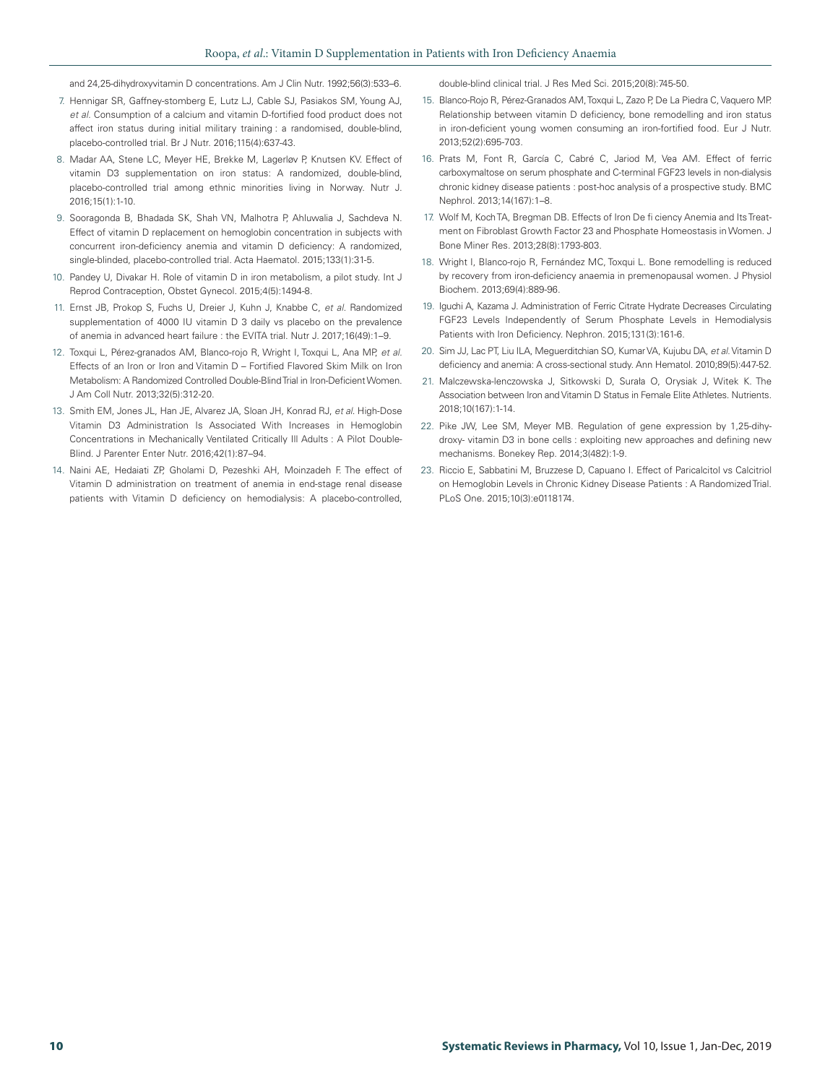and 24,25-dihydroxyvitamin D concentrations. Am J Clin Nutr. 1992;56(3):533–6.

- 7. Hennigar SR, Gaffney-stomberg E, Lutz LJ, Cable SJ, Pasiakos SM, Young AJ, *et al.* Consumption of a calcium and vitamin D-fortified food product does not affect iron status during initial military training : a randomised, double-blind, placebo-controlled trial. Br J Nutr. 2016;115(4):637-43.
- 8. Madar AA, Stene LC, Meyer HE, Brekke M, Lagerløv P, Knutsen KV. Effect of vitamin D3 supplementation on iron status: A randomized, double-blind, placebo-controlled trial among ethnic minorities living in Norway. Nutr J. 2016;15(1):1-10.
- 9. Sooragonda B, Bhadada SK, Shah VN, Malhotra P, Ahluwalia J, Sachdeva N. Effect of vitamin D replacement on hemoglobin concentration in subjects with concurrent iron-deficiency anemia and vitamin D deficiency: A randomized, single-blinded, placebo-controlled trial. Acta Haematol. 2015;133(1):31-5.
- 10. Pandey U, Divakar H. Role of vitamin D in iron metabolism, a pilot study. Int J Reprod Contraception, Obstet Gynecol. 2015;4(5):1494-8.
- 11. Ernst JB, Prokop S, Fuchs U, Dreier J, Kuhn J, Knabbe C, *et al.* Randomized supplementation of 4000 IU vitamin D 3 daily vs placebo on the prevalence of anemia in advanced heart failure : the EVITA trial. Nutr J. 2017;16(49):1–9.
- 12. Toxqui L, Pérez-granados AM, Blanco-rojo R, Wright I, Toxqui L, Ana MP, *et al.* Effects of an Iron or Iron and Vitamin D – Fortified Flavored Skim Milk on Iron Metabolism: A Randomized Controlled Double-Blind Trial in Iron-Deficient Women. J Am Coll Nutr. 2013;32(5):312-20.
- 13. Smith EM, Jones JL, Han JE, Alvarez JA, Sloan JH, Konrad RJ, *et al*. High-Dose Vitamin D3 Administration Is Associated With Increases in Hemoglobin Concentrations in Mechanically Ventilated Critically Ill Adults : A Pilot Double-Blind. J Parenter Enter Nutr. 2016;42(1):87–94.
- 14. Naini AE, Hedaiati ZP, Gholami D, Pezeshki AH, Moinzadeh F. The effect of Vitamin D administration on treatment of anemia in end-stage renal disease patients with Vitamin D deficiency on hemodialysis: A placebo-controlled,

double-blind clinical trial. J Res Med Sci. 2015;20(8):745-50.

- 15. Blanco-Rojo R, Pérez-Granados AM, Toxqui L, Zazo P, De La Piedra C, Vaquero MP. Relationship between vitamin D deficiency, bone remodelling and iron status in iron-deficient young women consuming an iron-fortified food. Eur J Nutr. 2013;52(2):695-703.
- 16. Prats M, Font R, García C, Cabré C, Jariod M, Vea AM. Effect of ferric carboxymaltose on serum phosphate and C-terminal FGF23 levels in non-dialysis chronic kidney disease patients : post-hoc analysis of a prospective study. BMC Nephrol. 2013;14(167):1–8.
- 17. Wolf M, Koch TA, Bregman DB. Effects of Iron De fi ciency Anemia and Its Treatment on Fibroblast Growth Factor 23 and Phosphate Homeostasis in Women. J Bone Miner Res. 2013;28(8):1793-803.
- 18. Wright I, Blanco-rojo R, Fernández MC, Toxqui L. Bone remodelling is reduced by recovery from iron-deficiency anaemia in premenopausal women. J Physiol Biochem. 2013;69(4):889-96.
- 19. Iguchi A, Kazama J. Administration of Ferric Citrate Hydrate Decreases Circulating FGF23 Levels Independently of Serum Phosphate Levels in Hemodialysis Patients with Iron Deficiency. Nephron. 2015;131(3):161-6.
- 20. Sim JJ, Lac PT, Liu ILA, Meguerditchian SO, Kumar VA, Kujubu DA, *et al.* Vitamin D deficiency and anemia: A cross-sectional study. Ann Hematol. 2010;89(5):447-52.
- 21. Malczewska-lenczowska J, Sitkowski D, Surała O, Orysiak J, Witek K. The Association between Iron and Vitamin D Status in Female Elite Athletes. Nutrients. 2018;10(167):1-14.
- 22. Pike JW, Lee SM, Meyer MB. Regulation of gene expression by 1,25-dihydroxy- vitamin D3 in bone cells : exploiting new approaches and defining new mechanisms. Bonekey Rep. 2014;3(482):1-9.
- 23. Riccio E, Sabbatini M, Bruzzese D, Capuano I. Effect of Paricalcitol vs Calcitriol on Hemoglobin Levels in Chronic Kidney Disease Patients : A Randomized Trial. PLoS One. 2015;10(3):e0118174.